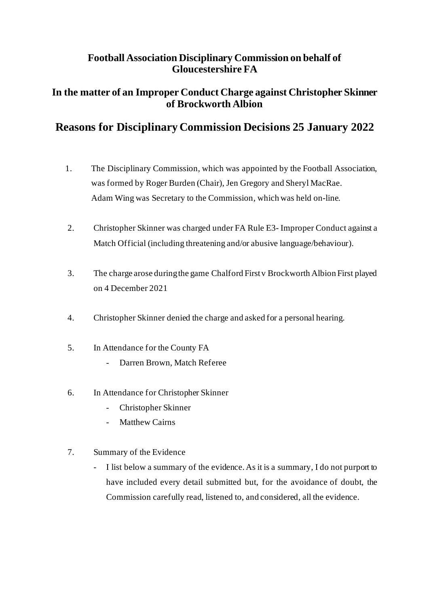## **Football Association Disciplinary Commission on behalf of Gloucestershire FA**

### **In the matter of an Improper Conduct Charge against Christopher Skinner of Brockworth Albion**

# **Reasons for Disciplinary Commission Decisions 25 January 2022**

- 1. The Disciplinary Commission, which was appointed by the Football Association, was formed by Roger Burden (Chair), Jen Gregory and Sheryl MacRae. Adam Wing was Secretary to the Commission, which was held on-line.
- 2. Christopher Skinner was charged under FA Rule E3- Improper Conduct against a Match Official (including threatening and/or abusive language/behaviour).
- 3. The charge arose during the game Chalford First v Brockworth Albion First played on 4 December 2021
- 4. Christopher Skinner denied the charge and asked for a personal hearing.
- 5. In Attendance for the County FA
	- Darren Brown, Match Referee
- 6. In Attendance for Christopher Skinner
	- Christopher Skinner
	- Matthew Cairns
- 7. Summary of the Evidence
	- I list below a summary of the evidence. As it is a summary, I do not purport to have included every detail submitted but, for the avoidance of doubt, the Commission carefully read, listened to, and considered, all the evidence.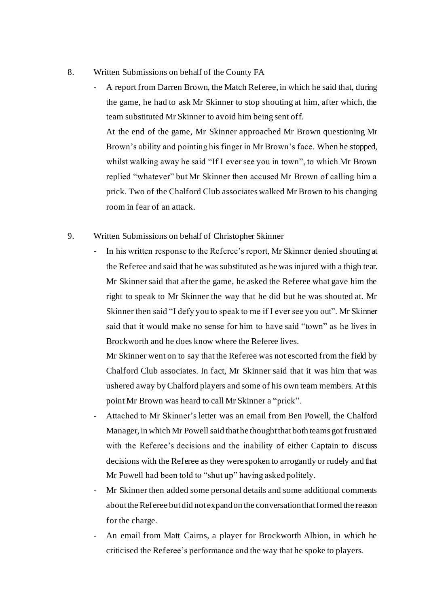- 8. Written Submissions on behalf of the County FA
	- A report from Darren Brown, the Match Referee, in which he said that, during the game, he had to ask Mr Skinner to stop shouting at him, after which, the team substituted Mr Skinner to avoid him being sent off.

At the end of the game, Mr Skinner approached Mr Brown questioning Mr Brown's ability and pointing his finger in Mr Brown's face. When he stopped, whilst walking away he said "If I ever see you in town", to which Mr Brown replied "whatever" but Mr Skinner then accused Mr Brown of calling him a prick. Two of the Chalford Club associates walked Mr Brown to his changing room in fear of an attack.

- 9. Written Submissions on behalf of Christopher Skinner
	- In his written response to the Referee's report, Mr Skinner denied shouting at the Referee and said that he was substituted as he was injured with a thigh tear. Mr Skinner said that after the game, he asked the Referee what gave him the right to speak to Mr Skinner the way that he did but he was shouted at. Mr Skinner then said "I defy you to speak to me if I ever see you out". Mr Skinner said that it would make no sense for him to have said "town" as he lives in Brockworth and he does know where the Referee lives.

Mr Skinner went on to say that the Referee was not escorted from the field by Chalford Club associates. In fact, Mr Skinner said that it was him that was ushered away by Chalford players and some of his own team members. At this point Mr Brown was heard to call Mr Skinner a "prick".

- Attached to Mr Skinner's letter was an email from Ben Powell, the Chalford Manager, in which Mr Powell said that he thought that both teams got frustrated with the Referee's decisions and the inability of either Captain to discuss decisions with the Referee as they were spoken to arrogantly or rudely and that Mr Powell had been told to "shut up" having asked politely.
- Mr Skinner then added some personal details and some additional comments about the Referee but did not expand on the conversation that formed the reason for the charge.
- An email from Matt Cairns, a player for Brockworth Albion, in which he criticised the Referee's performance and the way that he spoke to players.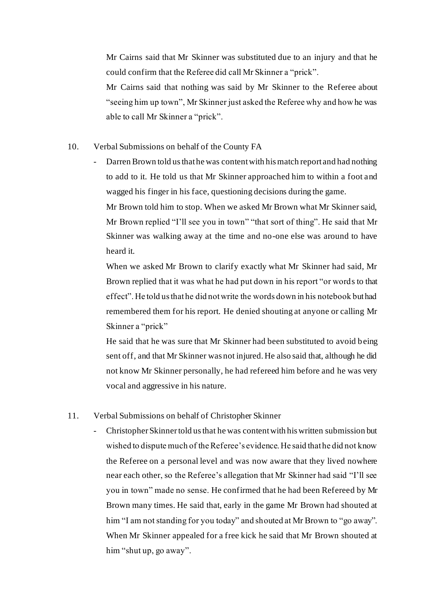Mr Cairns said that Mr Skinner was substituted due to an injury and that he could confirm that the Referee did call Mr Skinner a "prick".

Mr Cairns said that nothing was said by Mr Skinner to the Referee about "seeing him up town", Mr Skinner just asked the Referee why and how he was able to call Mr Skinner a "prick".

- 10. Verbal Submissions on behalf of the County FA
	- Darren Brown told us that he was content with his match report and had nothing to add to it. He told us that Mr Skinner approached him to within a foot and wagged his finger in his face, questioning decisions during the game.

Mr Brown told him to stop. When we asked Mr Brown what Mr Skinner said, Mr Brown replied "I'll see you in town" "that sort of thing". He said that Mr Skinner was walking away at the time and no-one else was around to have heard it.

When we asked Mr Brown to clarify exactly what Mr Skinner had said, Mr Brown replied that it was what he had put down in his report "or words to that effect". He told us that he did not write the words down in his notebook but had remembered them for his report. He denied shouting at anyone or calling Mr Skinner a "prick"

He said that he was sure that Mr Skinner had been substituted to avoid being sent off, and that Mr Skinner was not injured. He also said that, although he did not know Mr Skinner personally, he had refereed him before and he was very vocal and aggressive in his nature.

#### 11. Verbal Submissions on behalf of Christopher Skinner

- Christopher Skinner told us that he was content with his written submission but wished to dispute much of the Referee's evidence. He said that he did not know the Referee on a personal level and was now aware that they lived nowhere near each other, so the Referee's allegation that Mr Skinner had said "I'll see you in town" made no sense. He confirmed that he had been Refereed by Mr Brown many times. He said that, early in the game Mr Brown had shouted at him "I am not standing for you today" and shouted at Mr Brown to "go away". When Mr Skinner appealed for a free kick he said that Mr Brown shouted at him "shut up, go away".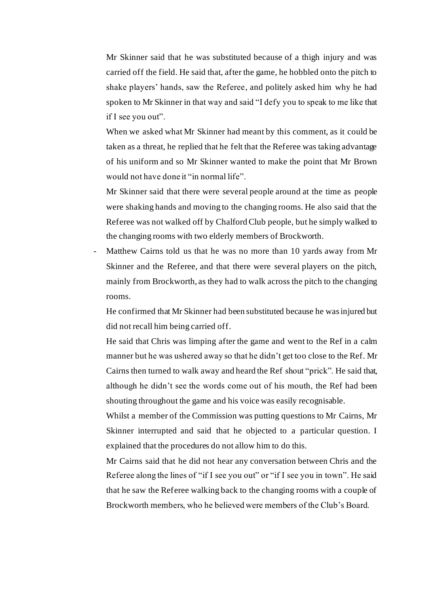Mr Skinner said that he was substituted because of a thigh injury and was carried off the field. He said that, after the game, he hobbled onto the pitch to shake players' hands, saw the Referee, and politely asked him why he had spoken to Mr Skinner in that way and said "I defy you to speak to me like that if I see you out".

When we asked what Mr Skinner had meant by this comment, as it could be taken as a threat, he replied that he felt that the Referee was taking advantage of his uniform and so Mr Skinner wanted to make the point that Mr Brown would not have done it "in normal life".

Mr Skinner said that there were several people around at the time as people were shaking hands and moving to the changing rooms. He also said that the Referee was not walked off by Chalford Club people, but he simply walked to the changing rooms with two elderly members of Brockworth.

Matthew Cairns told us that he was no more than 10 yards away from Mr Skinner and the Referee, and that there were several players on the pitch, mainly from Brockworth, as they had to walk across the pitch to the changing rooms.

He confirmed that Mr Skinner had been substituted because he was injured but did not recall him being carried off.

He said that Chris was limping after the game and went to the Ref in a calm manner but he was ushered away so that he didn't get too close to the Ref. Mr Cairns then turned to walk away and heard the Ref shout "prick". He said that, although he didn't see the words come out of his mouth, the Ref had been shouting throughout the game and his voice was easily recognisable.

Whilst a member of the Commission was putting questions to Mr Cairns, Mr Skinner interrupted and said that he objected to a particular question. I explained that the procedures do not allow him to do this.

Mr Cairns said that he did not hear any conversation between Chris and the Referee along the lines of "if I see you out" or "if I see you in town". He said that he saw the Referee walking back to the changing rooms with a couple of Brockworth members, who he believed were members of the Club's Board.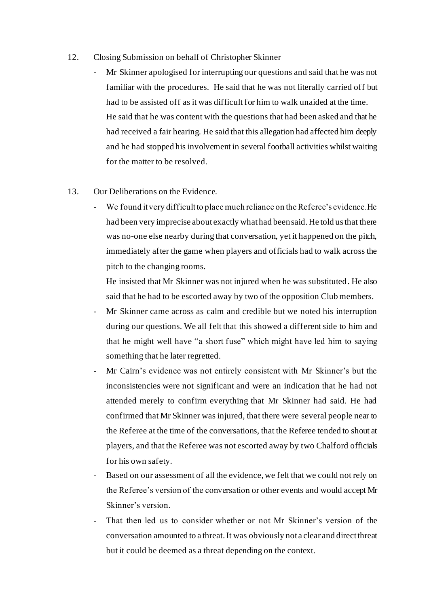#### 12. Closing Submission on behalf of Christopher Skinner

- Mr Skinner apologised for interrupting our questions and said that he was not familiar with the procedures. He said that he was not literally carried off but had to be assisted off as it was difficult for him to walk unaided at the time. He said that he was content with the questions that had been asked and that he had received a fair hearing. He said that this allegation had affected him deeply and he had stopped his involvement in several football activities whilst waiting for the matter to be resolved.
- 13. Our Deliberations on the Evidence.
	- We found it very difficult to place much reliance on the Referee's evidence. He had been very imprecise about exactly what had been said. He told us that there was no-one else nearby during that conversation, yet it happened on the pitch, immediately after the game when players and officials had to walk across the pitch to the changing rooms.

He insisted that Mr Skinner was not injured when he was substituted. He also said that he had to be escorted away by two of the opposition Club members.

- Mr Skinner came across as calm and credible but we noted his interruption during our questions. We all felt that this showed a different side to him and that he might well have "a short fuse" which might have led him to saying something that he later regretted.
- Mr Cairn's evidence was not entirely consistent with Mr Skinner's but the inconsistencies were not significant and were an indication that he had not attended merely to confirm everything that Mr Skinner had said. He had confirmed that Mr Skinner was injured, that there were several people near to the Referee at the time of the conversations, that the Referee tended to shout at players, and that the Referee was not escorted away by two Chalford officials for his own safety.
- Based on our assessment of all the evidence, we felt that we could not rely on the Referee's version of the conversation or other events and would accept Mr Skinner's version.
- That then led us to consider whether or not Mr Skinner's version of the conversation amounted to a threat. It was obviously not a clear and direct threat but it could be deemed as a threat depending on the context.